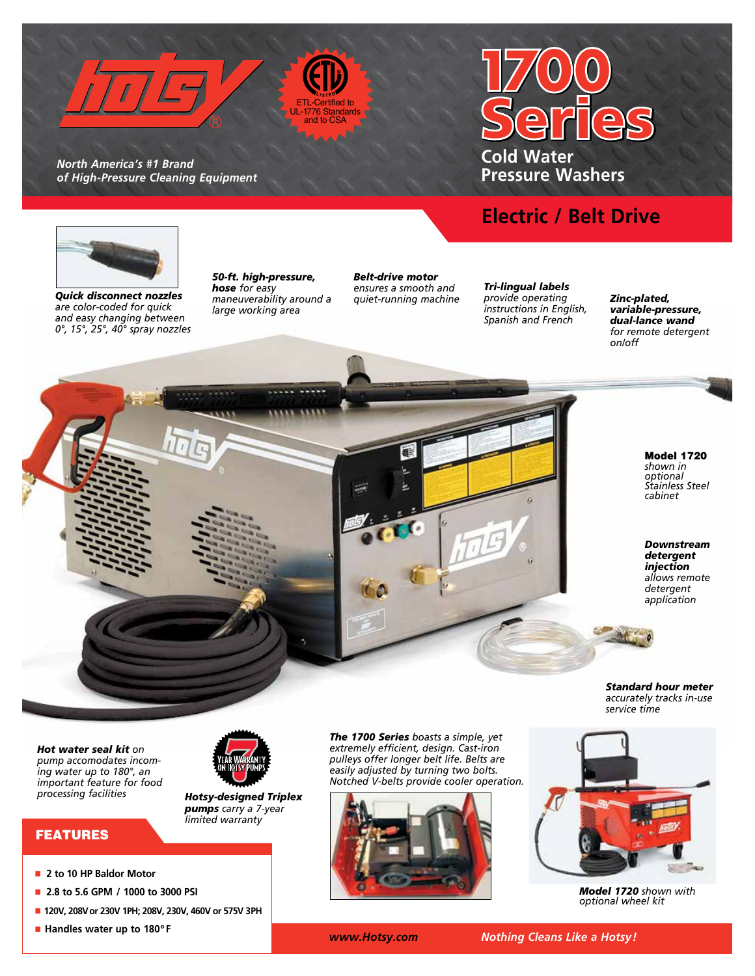

ETL-Certified to UL-1776 Standards and to CSA

*North America's #1 Brand of High-Pressure Cleaning Equipment* 

# **Cold Water Pressure Washers**

## **Electric / Belt Drive**



*Quick disconnect nozzles are color-coded for quick and easy changing between 0°, 15°, 25°, 40° spray nozzles* *50-ft. high-pressure, hose for easy maneuverability around a large working area*

**PERSONAL PROPERTY** 

*Belt-drive motor ensures a smooth and quiet-running machine*

*Tri-lingual labels provide operating instructions in English, Spanish and French*

*Zinc-plated, variable-pressure, dual-lance wand for remote detergent on/off*

> Model 1720 *shown in optional Stainless Steel cabinet*

*Downstream detergent injection allows remote detergent application*

*Standard hour meter accurately tracks in-use service time*

*Model 1720 shown with optional wheel kit* 

*Hot water seal kit on pump accomodates incoming water up to 180°, an important feature for food processing facilities*



*Hotsy-designed Triplex pumps carry a 7-year limited warranty*

FEATURES

- n **2 to 10 HP Baldor Motor**
- n **2.8 to 5.6 GPM / 1000 to 3000 PSI**
- n **120V, 208Vor 230V 1PH; 208V, 230V, 460V or 575V 3PH**
- n **Handles water up to 180º F**

*The 1700 Series boasts a simple, yet extremely efficient, design. Cast-iron pulleys offer longer belt life. Belts are easily adjusted by turning two bolts. Notched V-belts provide cooler operation.*